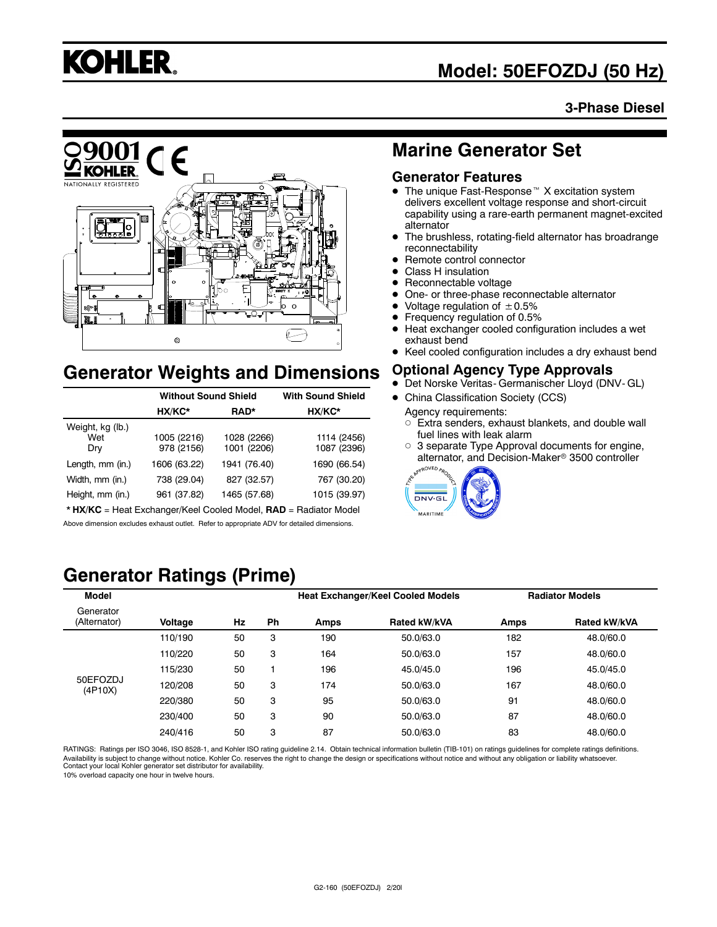

# **Model: 50EFOZDJ (50 Hz)**

## **3-Phase Diesel**



# **Generator Weights and Dimensions**

|                                | <b>Without Sound Shield</b> | <b>With Sound Shield</b>   |                            |
|--------------------------------|-----------------------------|----------------------------|----------------------------|
|                                | HX/KC*                      | RAD*                       | HX/KC*                     |
| Weight, kg (lb.)<br>Wet<br>Dry | 1005 (2216)<br>978 (2156)   | 1028 (2266)<br>1001 (2206) | 1114 (2456)<br>1087 (2396) |
| Length, mm (in.)               | 1606 (63.22)                | 1941 (76.40)               | 1690 (66.54)               |
| Width, mm (in.)                | 738 (29.04)                 | 827 (32.57)                | 767 (30.20)                |
| Height, mm (in.)               | 961 (37.82)                 | 1465 (57.68)               | 1015 (39.97)               |

\* **HX/KC** = Heat Exchanger/Keel Cooled Model, **RAD** = Radiator Model Above dimension excludes exhaust outlet. Refer to appropriate ADV for detailed dimensions.

# **Marine Generator Set**

## **Generator Features**

- $\bullet$  The unique Fast-Response<sup> $M$ </sup> X excitation system delivers excellent voltage response and short-circuit capability using a rare-earth permanent magnet-excited alternator
- The brushless, rotating-field alternator has broadrange reconnectability
- Remote control connector
- Class H insulation
- Reconnectable voltage
- One- or three-phase reconnectable alternator
- Voltage regulation of  $\pm 0.5\%$ <br>• Frequency requision of 0.5%
- Frequency regulation of 0.5%
- $\bullet$  Heat exchanger cooled configuration includes a wet exhaust bend
- Keel cooled configuration includes a dry exhaust bend

## **Optional Agency Type Approvals**

- $\bullet$  Det Norske Veritas- Germanischer Lloyd (DNV- GL)
- China Classification Society (CCS)
	- Agency requirements:  $\circ$  Extra senders, exhaust blankets, and double wall
	- fuel lines with leak alarm  $\circ$  3 separate Type Approval documents for engine,
	- alternator, and Decision-Maker<sup>®</sup> 3500 controller



# **Generator Ratings (Prime)**

| <b>Model</b>              |         |    |    |             | <b>Heat Exchanger/Keel Cooled Models</b> |      | <b>Radiator Models</b> |
|---------------------------|---------|----|----|-------------|------------------------------------------|------|------------------------|
| Generator<br>(Alternator) | Voltage | Hz | Ph | <b>Amps</b> | <b>Rated kW/kVA</b>                      | Amps | Rated kW/kVA           |
|                           | 110/190 | 50 | 3  | 190         | 50.0/63.0                                | 182  | 48.0/60.0              |
|                           | 110/220 | 50 | 3  | 164         | 50.0/63.0                                | 157  | 48.0/60.0              |
|                           | 115/230 | 50 |    | 196         | 45.0/45.0                                | 196  | 45.0/45.0              |
| 50EFOZDJ<br>(4P10X)       | 120/208 | 50 | 3  | 174         | 50.0/63.0                                | 167  | 48.0/60.0              |
|                           | 220/380 | 50 | 3  | 95          | 50.0/63.0                                | 91   | 48.0/60.0              |
|                           | 230/400 | 50 | 3  | 90          | 50.0/63.0                                | 87   | 48.0/60.0              |
|                           | 240/416 | 50 | 3  | 87          | 50.0/63.0                                | 83   | 48.0/60.0              |

RATINGS: Ratings per ISO 3046, ISO 8528-1, and Kohler ISO rating guideline 2.14. Obtain technical information bulletin (TIB-101) on ratings guidelines for complete ratings definitions. Availability is subject to change without notice. Kohler Co. reserves the right to change the design or specifications without notice and without any obligation or liability whatsoever.<br>Contact your local Kohler generator

10% overload capacity one hour in twelve hours.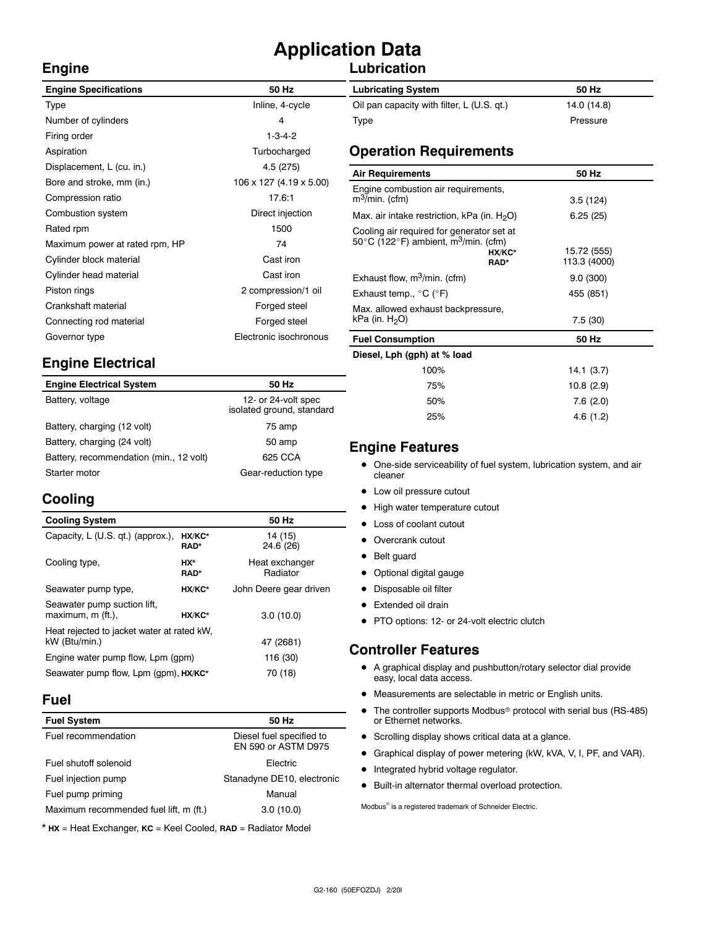# **Application Data**

# **Lubrication**

| <b>Engine Specifications</b>   | 50 Hz                   |
|--------------------------------|-------------------------|
| Type                           | Inline, 4-cycle         |
| Number of cylinders            | 4                       |
| Firing order                   | $1 - 3 - 4 - 2$         |
| Aspiration                     | Turbocharged            |
| Displacement, L (cu. in.)      | 4.5 (275)               |
| Bore and stroke, mm (in.)      | 106 x 127 (4.19 x 5.00) |
| Compression ratio              | 17.6:1                  |
| Combustion system              | Direct injection        |
| Rated rpm                      | 1500                    |
| Maximum power at rated rpm, HP | 74                      |
| Cylinder block material        | Cast iron               |
| Cylinder head material         | Cast iron               |
| Piston rings                   | 2 compression/1 oil     |
| Crankshaft material            | Forged steel            |
| Connecting rod material        | Forged steel            |
| Governor type                  | Electronic isochronous  |
|                                |                         |

# **Engine Electrical**

| <b>Engine Electrical System</b>         | 50 Hz                                            |
|-----------------------------------------|--------------------------------------------------|
| Battery, voltage                        | 12- or 24-volt spec<br>isolated ground, standard |
| Battery, charging (12 volt)             | 75 amp                                           |
| Battery, charging (24 volt)             | 50 amp                                           |
| Battery, recommendation (min., 12 volt) | 625 CCA                                          |
| Starter motor                           | Gear-reduction type                              |

# **Cooling**

**Engine**

| <b>Cooling System</b>                                       |                    | 50 Hz                      |
|-------------------------------------------------------------|--------------------|----------------------------|
| Capacity, L (U.S. qt.) (approx.),                           | HX/KC*<br>RAD*     | 14 (15)<br>24.6 (26)       |
| Cooling type,                                               | HX*<br><b>RAD*</b> | Heat exchanger<br>Radiator |
| Seawater pump type,                                         | HX/KC*             | John Deere gear driven     |
| Seawater pump suction lift,<br>maximum, m (ft.).            | HX/KC*             | 3.0(10.0)                  |
| Heat rejected to jacket water at rated kW,<br>kW (Btu/min.) | 47 (2681)          |                            |
| Engine water pump flow, Lpm (gpm)                           | 116 (30)           |                            |
| Seawater pump flow, Lpm (gpm), HX/KC*                       | 70 (18)            |                            |

## **Fuel**

| 50 Hz                                           |
|-------------------------------------------------|
| Diesel fuel specified to<br>EN 590 or ASTM D975 |
| <b>Flectric</b>                                 |
| Stanadyne DE10, electronic                      |
| Manual                                          |
| 3.0(10.0)                                       |
|                                                 |

\* **HX** = Heat Exchanger, **KC** = Keel Cooled, **RAD** = Radiator Model

| <b>Lubricating System</b>                  | 50 Hz       |
|--------------------------------------------|-------------|
| Oil pan capacity with filter, L (U.S. qt.) | 14.0 (14.8) |
| Type                                       | Pressure    |

## **Operation Requirements**

| <b>Air Requirements</b>                                                                                                             | 50 Hz                       |
|-------------------------------------------------------------------------------------------------------------------------------------|-----------------------------|
| Engine combustion air requirements,<br>$m^3$ /min. (cfm)                                                                            | 3.5(124)                    |
| Max. air intake restriction, kPa (in. $H_2O$ )                                                                                      | 6.25(25)                    |
| Cooling air required for generator set at<br>50 $\degree$ C (122 $\degree$ F) ambient, m <sup>3</sup> /min. (cfm)<br>HX/KC*<br>RAD* | 15.72 (555)<br>113.3 (4000) |
| Exhaust flow, $m^3/m$ in. (cfm)                                                                                                     | 9.0(300)                    |
| Exhaust temp., °C (°F)                                                                                                              | 455 (851)                   |
| Max. allowed exhaust backpressure,<br>kPa (in. $H_2O$ )                                                                             | 7.5(30)                     |
| <b>Fuel Consumption</b>                                                                                                             | 50 Hz                       |
| Diesel, Lph (gph) at % load                                                                                                         |                             |
| 100%                                                                                                                                | 14.1(3.7)                   |
| 75%                                                                                                                                 | 10.8 (2.9)                  |

## **Engine Features**

• One-side serviceability of fuel system, lubrication system, and air cleaner

50% 7.6 (2.0) 25% 4.6 (1.2)

- Low oil pressure cutout
- High water temperature cutout
- Loss of coolant cutout
- Overcrank cutout
- Belt guard
- Optional digital gauge
- Disposable oil filter
- Extended oil drain
- PTO options: 12- or 24-volt electric clutch

## **Controller Features**

- $\bullet$  A graphical display and pushbutton/rotary selector dial provide easy, local data access.
- $\bullet$  Measurements are selectable in metric or English units.
- $\bullet$  The controller supports Modbus<sup>®</sup> protocol with serial bus (RS-485) or Ethernet networks.
- **•** Scrolling display shows critical data at a glance.
- **•** Graphical display of power metering (kW, kVA, V, I, PF, and VAR).
- $\bullet$  Integrated hybrid voltage regulator.
- $\bullet$  Built-in alternator thermal overload protection.

Modbus<sup>®</sup> is a registered trademark of Schneider Electric.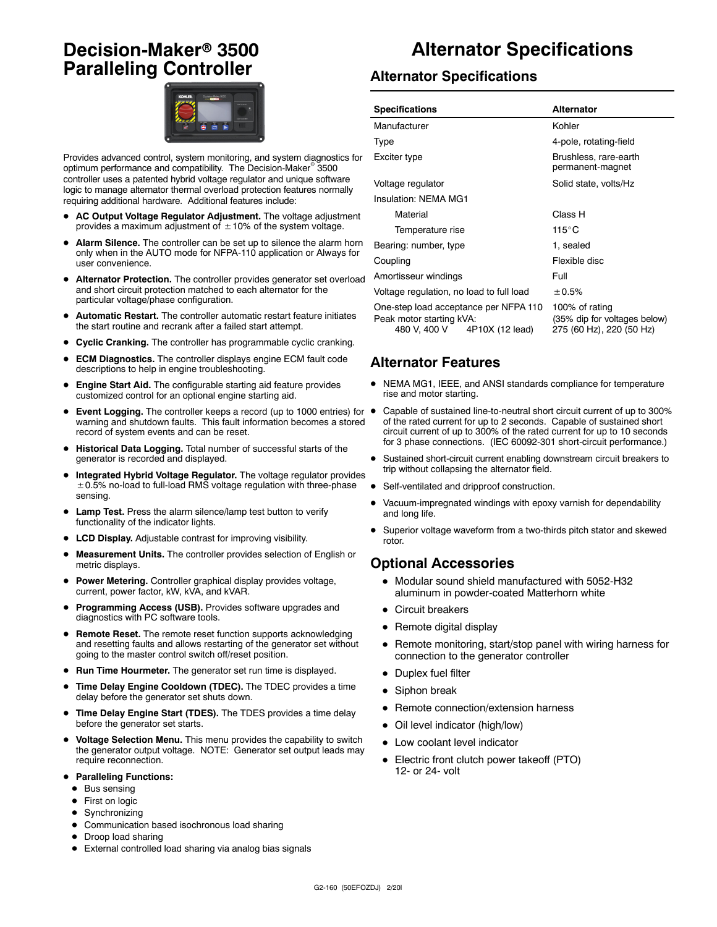# **Decision-Maker<sup>®</sup> 3500 Paralleling Controller**



Provides advanced control, system monitoring, and system diagnostics for optimum performance and compatibility. The Decision-Maker<sup>®</sup> 3500 controller uses a patented hybrid voltage regulator and unique software logic to manage alternator thermal overload protection features normally requiring additional hardware. Additional features include:

- AC Output Voltage Regulator Adjustment. The voltage adjustment provides a maximum adjustment of  $\pm$  10% of the system voltage.
- Alarm Silence. The controller can be set up to silence the alarm horn only when in the AUTO mode for NFPA-110 application or Always for user convenience.
- $\bullet$  Alternator Protection. The controller provides generator set overload and short circuit protection matched to each alternator for the particular voltage/phase configuration.
- Automatic Restart. The controller automatic restart feature initiates the start routine and recrank after a failed start attempt.
- **Cyclic Cranking.** The controller has programmable cyclic cranking.
- **ECM Diagnostics.** The controller displays engine ECM fault code descriptions to help in engine troubleshooting.
- Engine Start Aid. The configurable starting aid feature provides customized control for an optional engine starting aid.
- Event Logging. The controller keeps a record (up to 1000 entries) for warning and shutdown faults. This fault information becomes a stored record of system events and can be reset.
- $\bullet$  Historical Data Logging. Total number of successful starts of the generator is recorded and displayed.
- Integrated Hybrid Voltage Regulator. The voltage regulator provides  $\pm$  0.5% no-load to full-load RMS voltage regulation with three-phase sensing.
- Lamp Test. Press the alarm silence/lamp test button to verify functionality of the indicator lights.
- LCD Display. Adjustable contrast for improving visibility.
- D **Measurement Units.** The controller provides selection of English or metric displays.
- **Power Metering.** Controller graphical display provides voltage, current, power factor, kW, kVA, and kVAR.
- Programming Access (USB). Provides software upgrades and diagnostics with PC software tools.
- **Remote Reset.** The remote reset function supports acknowledging and resetting faults and allows restarting of the generator set without going to the master control switch off/reset position.
- **Run Time Hourmeter.** The generator set run time is displayed.
- **Time Delay Engine Cooldown (TDEC).** The TDEC provides a time delay before the generator set shuts down.
- Time Delay Engine Start (TDES). The TDES provides a time delay before the generator set starts.
- $\bullet$  Voltage Selection Menu. This menu provides the capability to switch the generator output voltage. NOTE: Generator set output leads may require reconnection.
- **Paralleling Functions:** 
	- $\bullet$  Bus sensing
	- First on logic
	- $\bullet$  Synchronizing
- $\bullet$  Communication based isochronous load sharing
- Droop load sharing
- External controlled load sharing via analog bias signals

# **Alternator Specifications**

#### **Alternator Specifications**

| <b>Specifications</b>                                                                                | <b>Alternator</b>                                                          |  |
|------------------------------------------------------------------------------------------------------|----------------------------------------------------------------------------|--|
| Manufacturer                                                                                         | Kohler                                                                     |  |
| Type                                                                                                 | 4-pole, rotating-field                                                     |  |
| Exciter type                                                                                         | Brushless, rare-earth<br>permanent-magnet                                  |  |
| Voltage regulator                                                                                    | Solid state, volts/Hz                                                      |  |
| Insulation: NEMA MG1                                                                                 |                                                                            |  |
| Material                                                                                             | Class H                                                                    |  |
| Temperature rise                                                                                     | 115°C                                                                      |  |
| Bearing: number, type                                                                                | 1. sealed                                                                  |  |
| Coupling                                                                                             | Flexible disc                                                              |  |
| Amortisseur windings                                                                                 | Full                                                                       |  |
| Voltage regulation, no load to full load                                                             | ± 0.5%                                                                     |  |
| One-step load acceptance per NFPA 110<br>Peak motor starting kVA:<br>480 V, 400 V<br>4P10X (12 lead) | 100% of rating<br>(35% dip for voltages below)<br>275 (60 Hz), 220 (50 Hz) |  |

## **Alternator Features**

- NEMA MG1, IEEE, and ANSI standards compliance for temperature rise and motor starting.
- Capable of sustained line-to-neutral short circuit current of up to 300% of the rated current for up to 2 seconds. Capable of sustained short circuit current of up to 300% of the rated current for up to 10 seconds for 3 phase connections. (IEC 60092-301 short-circuit performance.)
- Sustained short-circuit current enabling downstream circuit breakers to trip without collapsing the alternator field.
- Self-ventilated and dripproof construction.
- Vacuum-impregnated windings with epoxy varnish for dependability and long life.
- Superior voltage waveform from a two-thirds pitch stator and skewed rotor.

#### **Optional Accessories**

- $\bullet$  Modular sound shield manufactured with 5052-H32 aluminum in powder-coated Matterhorn white
- Circuit breakers
- $\bullet$  Remote digital display
- Remote monitoring, start/stop panel with wiring harness for connection to the generator controller
- Duplex fuel filter
- $\bullet$  Siphon break
- Remote connection/extension harness
- Oil level indicator (high/low)
- $\bullet$  Low coolant level indicator
- Electric front clutch power takeoff (PTO) 12- or 24- volt